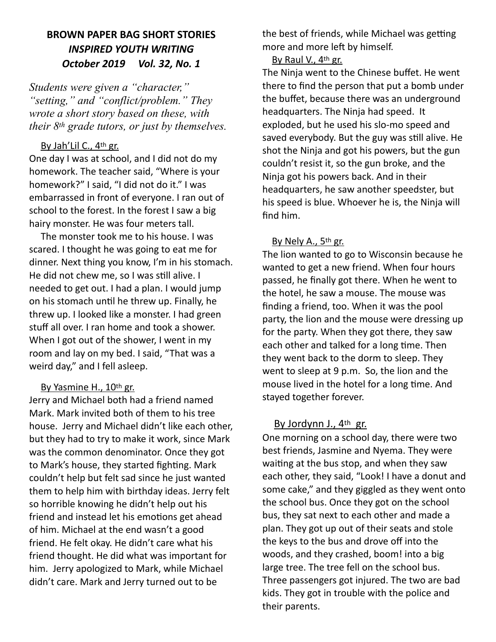# **BROWN PAPER BAG SHORT STORIES**  *INSPIRED YOUTH WRITING October 2019 Vol. 32, No. 1*

*Students were given a "character," "setting," and "conflict/problem." They wrote a short story based on these, with their 8th grade tutors, or just by themselves.* 

### By Jah'Lil C., 4th gr.

One day I was at school, and I did not do my homework. The teacher said, "Where is your homework?" I said, "I did not do it." I was embarrassed in front of everyone. I ran out of school to the forest. In the forest I saw a big hairy monster. He was four meters tall.

 The monster took me to his house. I was scared. I thought he was going to eat me for dinner. Next thing you know, I'm in his stomach. He did not chew me, so I was still alive. I needed to get out. I had a plan. I would jump on his stomach until he threw up. Finally, he threw up. I looked like a monster. I had green stuff all over. I ran home and took a shower. When I got out of the shower, I went in my room and lay on my bed. I said, "That was a weird day," and I fell asleep.

## By Yasmine H., 10th gr.

Jerry and Michael both had a friend named Mark. Mark invited both of them to his tree house. Jerry and Michael didn't like each other, but they had to try to make it work, since Mark was the common denominator. Once they got to Mark's house, they started fighting. Mark couldn't help but felt sad since he just wanted them to help him with birthday ideas. Jerry felt so horrible knowing he didn't help out his friend and instead let his emotions get ahead of him. Michael at the end wasn't a good friend. He felt okay. He didn't care what his friend thought. He did what was important for him. Jerry apologized to Mark, while Michael didn't care. Mark and Jerry turned out to be

the best of friends, while Michael was getting more and more left by himself.

By Raul V., 4<sup>th</sup> gr.

The Ninja went to the Chinese buffet. He went there to find the person that put a bomb under the buffet, because there was an underground headquarters. The Ninja had speed. It exploded, but he used his slo-mo speed and saved everybody. But the guy was still alive. He shot the Ninja and got his powers, but the gun couldn't resist it, so the gun broke, and the Ninja got his powers back. And in their headquarters, he saw another speedster, but his speed is blue. Whoever he is, the Ninja will find him.

### By Nely A., 5th gr.

The lion wanted to go to Wisconsin because he wanted to get a new friend. When four hours passed, he finally got there. When he went to the hotel, he saw a mouse. The mouse was finding a friend, too. When it was the pool party, the lion and the mouse were dressing up for the party. When they got there, they saw each other and talked for a long time. Then they went back to the dorm to sleep. They went to sleep at 9 p.m. So, the lion and the mouse lived in the hotel for a long time. And stayed together forever.

### By Jordynn J., 4th gr.

One morning on a school day, there were two best friends, Jasmine and Nyema. They were waiting at the bus stop, and when they saw each other, they said, "Look! I have a donut and some cake," and they giggled as they went onto the school bus. Once they got on the school bus, they sat next to each other and made a plan. They got up out of their seats and stole the keys to the bus and drove off into the woods, and they crashed, boom! into a big large tree. The tree fell on the school bus. Three passengers got injured. The two are bad kids. They got in trouble with the police and their parents.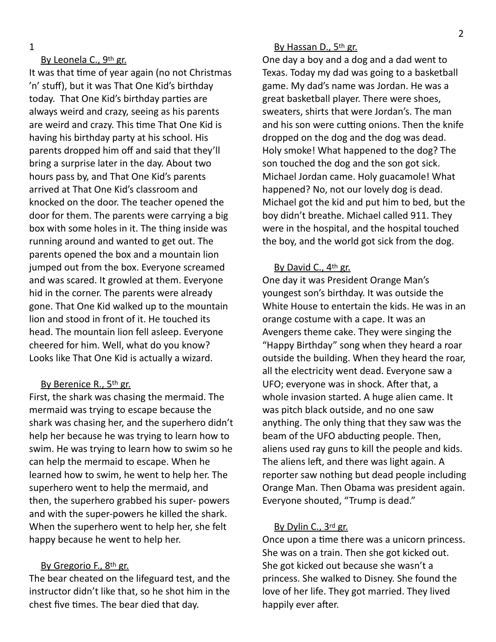1

### By Leonela C., 9th gr.

It was that time of year again (no not Christmas 'n' stuff), but it was That One Kid's birthday today. That One Kid's birthday parties are always weird and crazy, seeing as his parents are weird and crazy. This time That One Kid is having his birthday party at his school. His parents dropped him off and said that they'll bring a surprise later in the day. About two hours pass by, and That One Kid's parents arrived at That One Kid's classroom and knocked on the door. The teacher opened the door for them. The parents were carrying a big box with some holes in it. The thing inside was running around and wanted to get out. The parents opened the box and a mountain lion jumped out from the box. Everyone screamed and was scared. It growled at them. Everyone hid in the corner. The parents were already gone. That One Kid walked up to the mountain lion and stood in front of it. He touched its head. The mountain lion fell asleep. Everyone cheered for him. Well, what do you know? Looks like That One Kid is actually a wizard.

#### By Berenice R., 5th gr.

First, the shark was chasing the mermaid. The mermaid was trying to escape because the shark was chasing her, and the superhero didn't help her because he was trying to learn how to swim. He was trying to learn how to swim so he can help the mermaid to escape. When he learned how to swim, he went to help her. The superhero went to help the mermaid, and then, the superhero grabbed his super- powers and with the super-powers he killed the shark. When the superhero went to help her, she felt happy because he went to help her.

#### By Gregorio F., 8th gr.

The bear cheated on the lifeguard test, and the instructor didn't like that, so he shot him in the chest five times. The bear died that day.

#### By Hassan D., 5th gr.

One day a boy and a dog and a dad went to Texas. Today my dad was going to a basketball game. My dad's name was Jordan. He was a great basketball player. There were shoes, sweaters, shirts that were Jordan's. The man and his son were cutting onions. Then the knife dropped on the dog and the dog was dead. Holy smoke! What happened to the dog? The son touched the dog and the son got sick. Michael Jordan came. Holy guacamole! What happened? No, not our lovely dog is dead. Michael got the kid and put him to bed, but the boy didn't breathe. Michael called 911. They were in the hospital, and the hospital touched the boy, and the world got sick from the dog.

#### By David C., 4th gr.

One day it was President Orange Man's youngest son's birthday. It was outside the White House to entertain the kids. He was in an orange costume with a cape. It was an Avengers theme cake. They were singing the "Happy Birthday" song when they heard a roar outside the building. When they heard the roar, all the electricity went dead. Everyone saw a UFO; everyone was in shock. After that, a whole invasion started. A huge alien came. It was pitch black outside, and no one saw anything. The only thing that they saw was the beam of the UFO abducting people. Then, aliens used ray guns to kill the people and kids. The aliens left, and there was light again. A reporter saw nothing but dead people including Orange Man. Then Obama was president again. Everyone shouted, "Trump is dead."

### By Dylin C., 3rd gr.

Once upon a time there was a unicorn princess. She was on a train. Then she got kicked out. She got kicked out because she wasn't a princess. She walked to Disney. She found the love of her life. They got married. They lived happily ever after.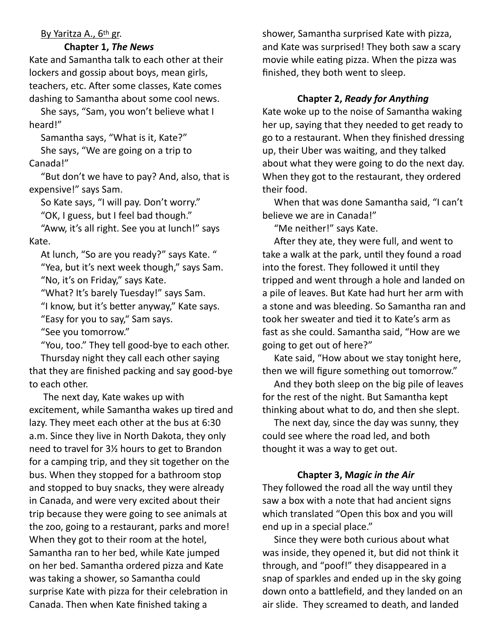### By Yaritza A., 6th gr.

#### **Chapter 1,** *The News*

Kate and Samantha talk to each other at their lockers and gossip about boys, mean girls, teachers, etc. After some classes, Kate comes dashing to Samantha about some cool news.

She says, "Sam, you won't believe what I heard!"

Samantha says, "What is it, Kate?" She says, "We are going on a trip to Canada!"

"But don't we have to pay? And, also, that is expensive!" says Sam.

So Kate says, "I will pay. Don't worry."

"OK, I guess, but I feel bad though."

"Aww, it's all right. See you at lunch!" says Kate.

At lunch, "So are you ready?" says Kate. " "Yea, but it's next week though," says Sam. "No, it's on Friday," says Kate.

"What? It's barely Tuesday!" says Sam.

"I know, but it's better anyway," Kate says.

"Easy for you to say," Sam says.

"See you tomorrow."

"You, too." They tell good-bye to each other.

Thursday night they call each other saying that they are finished packing and say good-bye to each other.

 The next day, Kate wakes up with excitement, while Samantha wakes up tired and lazy. They meet each other at the bus at 6:30 a.m. Since they live in North Dakota, they only need to travel for 3½ hours to get to Brandon for a camping trip, and they sit together on the bus. When they stopped for a bathroom stop and stopped to buy snacks, they were already in Canada, and were very excited about their trip because they were going to see animals at the zoo, going to a restaurant, parks and more! When they got to their room at the hotel, Samantha ran to her bed, while Kate jumped on her bed. Samantha ordered pizza and Kate was taking a shower, so Samantha could surprise Kate with pizza for their celebration in Canada. Then when Kate finished taking a

shower, Samantha surprised Kate with pizza, and Kate was surprised! They both saw a scary movie while eating pizza. When the pizza was finished, they both went to sleep.

# **Chapter 2,** *Ready for Anything*

Kate woke up to the noise of Samantha waking her up, saying that they needed to get ready to go to a restaurant. When they finished dressing up, their Uber was waiting, and they talked about what they were going to do the next day. When they got to the restaurant, they ordered their food.

When that was done Samantha said, "I can't believe we are in Canada!"

"Me neither!" says Kate.

After they ate, they were full, and went to take a walk at the park, until they found a road into the forest. They followed it until they tripped and went through a hole and landed on a pile of leaves. But Kate had hurt her arm with a stone and was bleeding. So Samantha ran and took her sweater and tied it to Kate's arm as fast as she could. Samantha said, "How are we going to get out of here?"

Kate said, "How about we stay tonight here, then we will figure something out tomorrow."

And they both sleep on the big pile of leaves for the rest of the night. But Samantha kept thinking about what to do, and then she slept.

The next day, since the day was sunny, they could see where the road led, and both thought it was a way to get out.

# **Chapter 3, M***agic in the Air*

They followed the road all the way until they saw a box with a note that had ancient signs which translated "Open this box and you will end up in a special place."

 Since they were both curious about what was inside, they opened it, but did not think it through, and "poof!" they disappeared in a snap of sparkles and ended up in the sky going down onto a battlefield, and they landed on an air slide. They screamed to death, and landed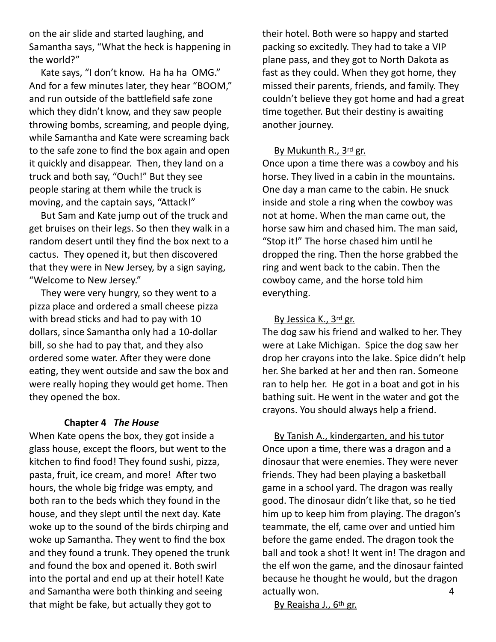on the air slide and started laughing, and Samantha says, "What the heck is happening in the world?"

Kate says, "I don't know. Ha ha ha OMG." And for a few minutes later, they hear "BOOM," and run outside of the battlefield safe zone which they didn't know, and they saw people throwing bombs, screaming, and people dying, while Samantha and Kate were screaming back to the safe zone to find the box again and open it quickly and disappear. Then, they land on a truck and both say, "Ouch!" But they see people staring at them while the truck is moving, and the captain says, "Attack!"

 But Sam and Kate jump out of the truck and get bruises on their legs. So then they walk in a random desert until they find the box next to a cactus. They opened it, but then discovered that they were in New Jersey, by a sign saying, "Welcome to New Jersey."

They were very hungry, so they went to a pizza place and ordered a small cheese pizza with bread sticks and had to pay with 10 dollars, since Samantha only had a 10-dollar bill, so she had to pay that, and they also ordered some water. After they were done eating, they went outside and saw the box and were really hoping they would get home. Then they opened the box.

#### **Chapter 4** *The House*

When Kate opens the box, they got inside a glass house, except the floors, but went to the kitchen to find food! They found sushi, pizza, pasta, fruit, ice cream, and more! After two hours, the whole big fridge was empty, and both ran to the beds which they found in the house, and they slept until the next day. Kate woke up to the sound of the birds chirping and woke up Samantha. They went to find the box and they found a trunk. They opened the trunk and found the box and opened it. Both swirl into the portal and end up at their hotel! Kate and Samantha were both thinking and seeing that might be fake, but actually they got to

their hotel. Both were so happy and started packing so excitedly. They had to take a VIP plane pass, and they got to North Dakota as fast as they could. When they got home, they missed their parents, friends, and family. They couldn't believe they got home and had a great time together. But their destiny is awaiting another journey.

#### By Mukunth R., 3rd gr.

Once upon a time there was a cowboy and his horse. They lived in a cabin in the mountains. One day a man came to the cabin. He snuck inside and stole a ring when the cowboy was not at home. When the man came out, the horse saw him and chased him. The man said, "Stop it!" The horse chased him until he dropped the ring. Then the horse grabbed the ring and went back to the cabin. Then the cowboy came, and the horse told him everything.

#### By Jessica K., 3<sup>rd</sup> gr.

The dog saw his friend and walked to her. They were at Lake Michigan. Spice the dog saw her drop her crayons into the lake. Spice didn't help her. She barked at her and then ran. Someone ran to help her. He got in a boat and got in his bathing suit. He went in the water and got the crayons. You should always help a friend.

By Tanish A., kindergarten, and his tutor Once upon a time, there was a dragon and a dinosaur that were enemies. They were never friends. They had been playing a basketball game in a school yard. The dragon was really good. The dinosaur didn't like that, so he tied him up to keep him from playing. The dragon's teammate, the elf, came over and untied him before the game ended. The dragon took the ball and took a shot! It went in! The dragon and the elf won the game, and the dinosaur fainted because he thought he would, but the dragon actually won. 4

By Reaisha J., 6th gr.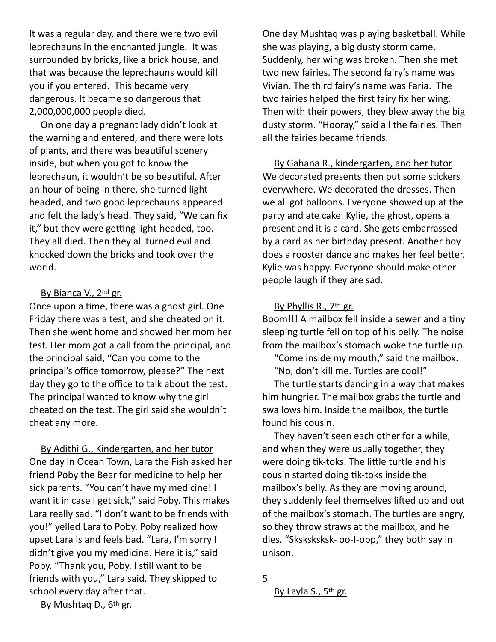It was a regular day, and there were two evil leprechauns in the enchanted jungle. It was surrounded by bricks, like a brick house, and that was because the leprechauns would kill you if you entered. This became very dangerous. It became so dangerous that 2,000,000,000 people died.

On one day a pregnant lady didn't look at the warning and entered, and there were lots of plants, and there was beautiful scenery inside, but when you got to know the leprechaun, it wouldn't be so beautiful. After an hour of being in there, she turned lightheaded, and two good leprechauns appeared and felt the lady's head. They said, "We can fix it," but they were getting light-headed, too. They all died. Then they all turned evil and knocked down the bricks and took over the world.

### By Bianca V., 2<sup>nd</sup> gr.

Once upon a time, there was a ghost girl. One Friday there was a test, and she cheated on it. Then she went home and showed her mom her test. Her mom got a call from the principal, and the principal said, "Can you come to the principal's office tomorrow, please?" The next day they go to the office to talk about the test. The principal wanted to know why the girl cheated on the test. The girl said she wouldn't cheat any more.

By Adithi G., Kindergarten, and her tutor One day in Ocean Town, Lara the Fish asked her friend Poby the Bear for medicine to help her sick parents. "You can't have my medicine! I want it in case I get sick," said Poby. This makes Lara really sad. "I don't want to be friends with you!" yelled Lara to Poby. Poby realized how upset Lara is and feels bad. "Lara, I'm sorry I didn't give you my medicine. Here it is," said Poby. "Thank you, Poby. I still want to be friends with you," Lara said. They skipped to school every day after that.

One day Mushtaq was playing basketball. While she was playing, a big dusty storm came. Suddenly, her wing was broken. Then she met two new fairies. The second fairy's name was Vivian. The third fairy's name was Faria. The two fairies helped the first fairy fix her wing. Then with their powers, they blew away the big dusty storm. "Hooray," said all the fairies. Then all the fairies became friends.

By Gahana R., kindergarten, and her tutor We decorated presents then put some stickers everywhere. We decorated the dresses. Then we all got balloons. Everyone showed up at the party and ate cake. Kylie, the ghost, opens a present and it is a card. She gets embarrassed by a card as her birthday present. Another boy does a rooster dance and makes her feel better. Kylie was happy. Everyone should make other people laugh if they are sad.

### By Phyllis R., 7th gr.

Boom!!! A mailbox fell inside a sewer and a tiny sleeping turtle fell on top of his belly. The noise from the mailbox's stomach woke the turtle up.

"Come inside my mouth," said the mailbox. "No, don't kill me. Turtles are cool!"

The turtle starts dancing in a way that makes him hungrier. The mailbox grabs the turtle and swallows him. Inside the mailbox, the turtle found his cousin.

They haven't seen each other for a while, and when they were usually together, they were doing tik-toks. The little turtle and his cousin started doing tik-toks inside the mailbox's belly. As they are moving around, they suddenly feel themselves lifted up and out of the mailbox's stomach. The turtles are angry, so they throw straws at the mailbox, and he dies. "Sksksksksk- oo-I-opp," they both say in unison.

5

By Layla S., 5<sup>th</sup> gr.

By Mushtaq D., 6th gr.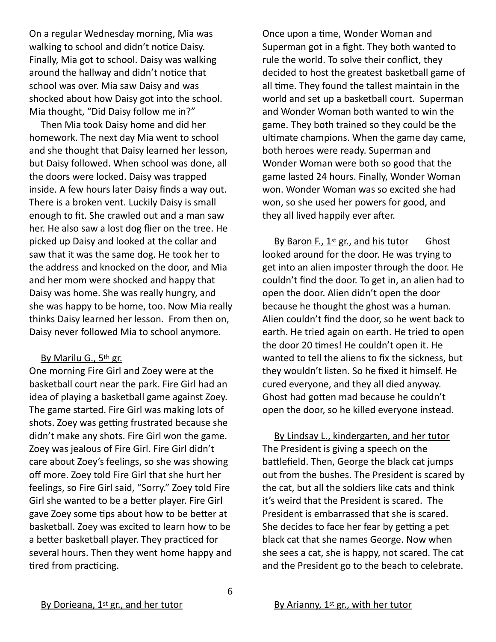On a regular Wednesday morning, Mia was walking to school and didn't notice Daisy. Finally, Mia got to school. Daisy was walking around the hallway and didn't notice that school was over. Mia saw Daisy and was shocked about how Daisy got into the school. Mia thought, "Did Daisy follow me in?"

 Then Mia took Daisy home and did her homework. The next day Mia went to school and she thought that Daisy learned her lesson, but Daisy followed. When school was done, all the doors were locked. Daisy was trapped inside. A few hours later Daisy finds a way out. There is a broken vent. Luckily Daisy is small enough to fit. She crawled out and a man saw her. He also saw a lost dog flier on the tree. He picked up Daisy and looked at the collar and saw that it was the same dog. He took her to the address and knocked on the door, and Mia and her mom were shocked and happy that Daisy was home. She was really hungry, and she was happy to be home, too. Now Mia really thinks Daisy learned her lesson. From then on, Daisy never followed Mia to school anymore.

#### By Marilu G., 5th gr.

One morning Fire Girl and Zoey were at the basketball court near the park. Fire Girl had an idea of playing a basketball game against Zoey. The game started. Fire Girl was making lots of shots. Zoey was getting frustrated because she didn't make any shots. Fire Girl won the game. Zoey was jealous of Fire Girl. Fire Girl didn't care about Zoey's feelings, so she was showing off more. Zoey told Fire Girl that she hurt her feelings, so Fire Girl said, "Sorry." Zoey told Fire Girl she wanted to be a better player. Fire Girl gave Zoey some tips about how to be better at basketball. Zoey was excited to learn how to be a better basketball player. They practiced for several hours. Then they went home happy and tired from practicing.

Once upon a time, Wonder Woman and Superman got in a fight. They both wanted to rule the world. To solve their conflict, they decided to host the greatest basketball game of all time. They found the tallest maintain in the world and set up a basketball court. Superman and Wonder Woman both wanted to win the game. They both trained so they could be the ultimate champions. When the game day came, both heroes were ready. Superman and Wonder Woman were both so good that the game lasted 24 hours. Finally, Wonder Woman won. Wonder Woman was so excited she had won, so she used her powers for good, and they all lived happily ever after.

By Baron F.,  $1^{st}$  gr., and his tutor Ghost looked around for the door. He was trying to get into an alien imposter through the door. He couldn't find the door. To get in, an alien had to open the door. Alien didn't open the door because he thought the ghost was a human. Alien couldn't find the door, so he went back to earth. He tried again on earth. He tried to open the door 20 times! He couldn't open it. He wanted to tell the aliens to fix the sickness, but they wouldn't listen. So he fixed it himself. He cured everyone, and they all died anyway. Ghost had gotten mad because he couldn't open the door, so he killed everyone instead.

By Lindsay L., kindergarten, and her tutor The President is giving a speech on the battlefield. Then, George the black cat jumps out from the bushes. The President is scared by the cat, but all the soldiers like cats and think it's weird that the President is scared. The President is embarrassed that she is scared. She decides to face her fear by getting a pet black cat that she names George. Now when she sees a cat, she is happy, not scared. The cat and the President go to the beach to celebrate.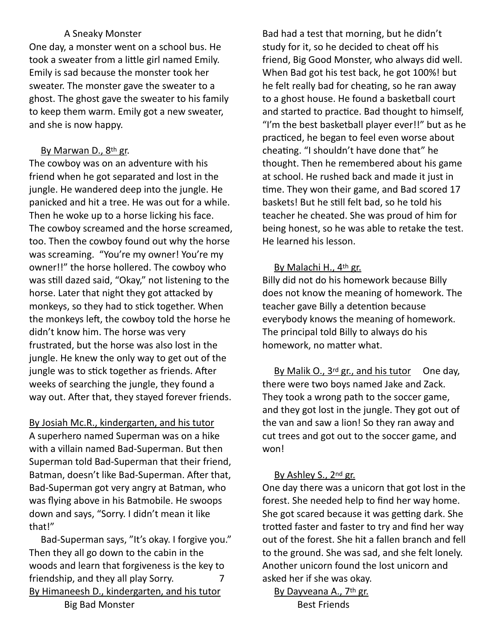## A Sneaky Monster

One day, a monster went on a school bus. He took a sweater from a little girl named Emily. Emily is sad because the monster took her sweater. The monster gave the sweater to a ghost. The ghost gave the sweater to his family to keep them warm. Emily got a new sweater, and she is now happy.

# By Marwan D., 8th gr.

The cowboy was on an adventure with his friend when he got separated and lost in the jungle. He wandered deep into the jungle. He panicked and hit a tree. He was out for a while. Then he woke up to a horse licking his face. The cowboy screamed and the horse screamed, too. Then the cowboy found out why the horse was screaming. "You're my owner! You're my owner!!" the horse hollered. The cowboy who was still dazed said, "Okay," not listening to the horse. Later that night they got attacked by monkeys, so they had to stick together. When the monkeys left, the cowboy told the horse he didn't know him. The horse was very frustrated, but the horse was also lost in the jungle. He knew the only way to get out of the jungle was to stick together as friends. After weeks of searching the jungle, they found a way out. After that, they stayed forever friends.

By Josiah Mc.R., kindergarten, and his tutor A superhero named Superman was on a hike with a villain named Bad-Superman. But then Superman told Bad-Superman that their friend, Batman, doesn't like Bad-Superman. After that, Bad-Superman got very angry at Batman, who was flying above in his Batmobile. He swoops down and says, "Sorry. I didn't mean it like that!"

 Bad-Superman says, "It's okay. I forgive you." Then they all go down to the cabin in the woods and learn that forgiveness is the key to friendship, and they all play Sorry. 7 By Himaneesh D., kindergarten, and his tutor Big Bad Monster

Bad had a test that morning, but he didn't study for it, so he decided to cheat off his friend, Big Good Monster, who always did well. When Bad got his test back, he got 100%! but he felt really bad for cheating, so he ran away to a ghost house. He found a basketball court and started to practice. Bad thought to himself, "I'm the best basketball player ever!!" but as he practiced, he began to feel even worse about cheating. "I shouldn't have done that" he thought. Then he remembered about his game at school. He rushed back and made it just in time. They won their game, and Bad scored 17 baskets! But he still felt bad, so he told his teacher he cheated. She was proud of him for being honest, so he was able to retake the test. He learned his lesson.

## By Malachi H., 4th gr.

Billy did not do his homework because Billy does not know the meaning of homework. The teacher gave Billy a detention because everybody knows the meaning of homework. The principal told Billy to always do his homework, no matter what.

By Malik O., 3<sup>rd</sup> gr., and his tutor One day, there were two boys named Jake and Zack. They took a wrong path to the soccer game, and they got lost in the jungle. They got out of the van and saw a lion! So they ran away and cut trees and got out to the soccer game, and won!

# By Ashley S., 2nd gr.

One day there was a unicorn that got lost in the forest. She needed help to find her way home. She got scared because it was getting dark. She trotted faster and faster to try and find her way out of the forest. She hit a fallen branch and fell to the ground. She was sad, and she felt lonely. Another unicorn found the lost unicorn and asked her if she was okay.

By Dayveana A., 7th gr. Best Friends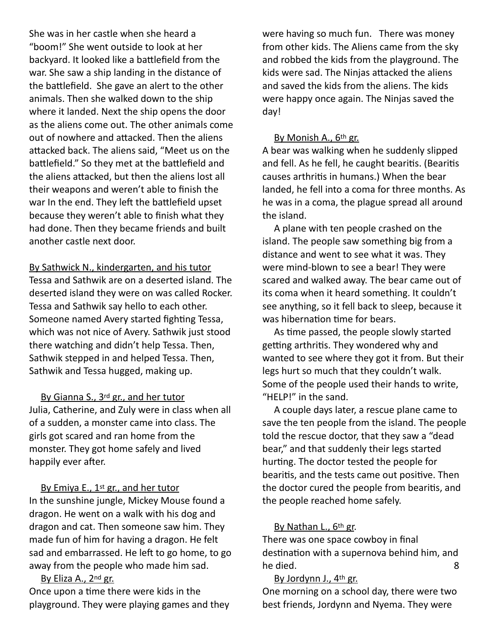She was in her castle when she heard a "boom!" She went outside to look at her backyard. It looked like a battlefield from the war. She saw a ship landing in the distance of the battlefield. She gave an alert to the other animals. Then she walked down to the ship where it landed. Next the ship opens the door as the aliens come out. The other animals come out of nowhere and attacked. Then the aliens attacked back. The aliens said, "Meet us on the battlefield." So they met at the battlefield and the aliens attacked, but then the aliens lost all their weapons and weren't able to finish the war In the end. They left the battlefield upset because they weren't able to finish what they had done. Then they became friends and built another castle next door.

By Sathwick N., kindergarten, and his tutor Tessa and Sathwik are on a deserted island. The deserted island they were on was called Rocker. Tessa and Sathwik say hello to each other. Someone named Avery started fighting Tessa, which was not nice of Avery. Sathwik just stood there watching and didn't help Tessa. Then, Sathwik stepped in and helped Tessa. Then, Sathwik and Tessa hugged, making up.

By Gianna S., 3<sup>rd</sup> gr., and her tutor Julia, Catherine, and Zuly were in class when all of a sudden, a monster came into class. The girls got scared and ran home from the monster. They got home safely and lived happily ever after.

By Emiya E., 1<sup>st</sup> gr., and her tutor In the sunshine jungle, Mickey Mouse found a dragon. He went on a walk with his dog and dragon and cat. Then someone saw him. They made fun of him for having a dragon. He felt sad and embarrassed. He left to go home, to go away from the people who made him sad.

## By Eliza A., 2nd gr. Once upon a time there were kids in the playground. They were playing games and they

were having so much fun. There was money from other kids. The Aliens came from the sky and robbed the kids from the playground. The kids were sad. The Ninjas attacked the aliens and saved the kids from the aliens. The kids were happy once again. The Ninjas saved the day!

# By Monish A., 6th gr.

A bear was walking when he suddenly slipped and fell. As he fell, he caught bearitis. (Bearitis causes arthritis in humans.) When the bear landed, he fell into a coma for three months. As he was in a coma, the plague spread all around the island.

A plane with ten people crashed on the island. The people saw something big from a distance and went to see what it was. They were mind-blown to see a bear! They were scared and walked away. The bear came out of its coma when it heard something. It couldn't see anything, so it fell back to sleep, because it was hibernation time for bears.

As time passed, the people slowly started getting arthritis. They wondered why and wanted to see where they got it from. But their legs hurt so much that they couldn't walk. Some of the people used their hands to write, "HELP!" in the sand.

A couple days later, a rescue plane came to save the ten people from the island. The people told the rescue doctor, that they saw a "dead bear," and that suddenly their legs started hurting. The doctor tested the people for bearitis, and the tests came out positive. Then the doctor cured the people from bearitis, and the people reached home safely.

## By Nathan L., 6<sup>th</sup> gr.

There was one space cowboy in final destination with a supernova behind him, and he died. 8

## By Jordynn J., 4th gr.

One morning on a school day, there were two best friends, Jordynn and Nyema. They were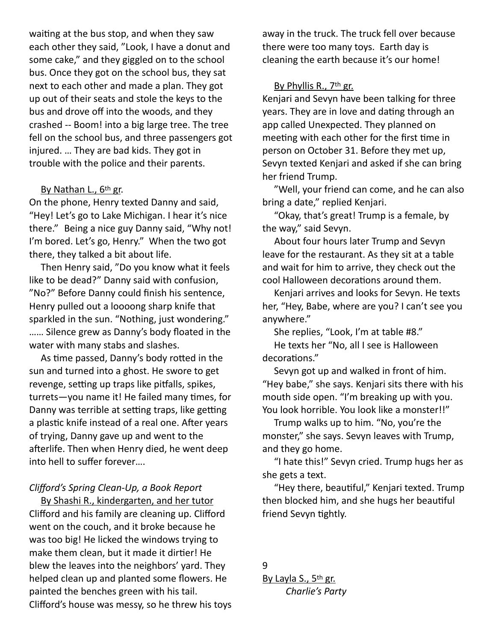waiting at the bus stop, and when they saw each other they said, "Look, I have a donut and some cake," and they giggled on to the school bus. Once they got on the school bus, they sat next to each other and made a plan. They got up out of their seats and stole the keys to the bus and drove off into the woods, and they crashed -- Boom! into a big large tree. The tree fell on the school bus, and three passengers got injured. … They are bad kids. They got in trouble with the police and their parents.

#### By Nathan L., 6th gr.

On the phone, Henry texted Danny and said, "Hey! Let's go to Lake Michigan. I hear it's nice there." Being a nice guy Danny said, "Why not! I'm bored. Let's go, Henry." When the two got there, they talked a bit about life.

Then Henry said, "Do you know what it feels like to be dead?" Danny said with confusion, "No?" Before Danny could finish his sentence, Henry pulled out a loooong sharp knife that sparkled in the sun. "Nothing, just wondering." …… Silence grew as Danny's body floated in the water with many stabs and slashes.

As time passed, Danny's body rotted in the sun and turned into a ghost. He swore to get revenge, setting up traps like pitfalls, spikes, turrets-you name it! He failed many times, for Danny was terrible at setting traps, like getting a plastic knife instead of a real one. After years of trying, Danny gave up and went to the afterlife. Then when Henry died, he went deep into hell to suffer forever….

#### *Clifford's Spring Clean-Up, a Book Report*

By Shashi R., kindergarten, and her tutor Clifford and his family are cleaning up. Clifford went on the couch, and it broke because he was too big! He licked the windows trying to make them clean, but it made it dirtier! He blew the leaves into the neighbors' yard. They helped clean up and planted some flowers. He painted the benches green with his tail. Clifford's house was messy, so he threw his toys away in the truck. The truck fell over because there were too many toys. Earth day is cleaning the earth because it's our home!

#### By Phyllis R., 7th gr.

Kenjari and Sevyn have been talking for three years. They are in love and dating through an app called Unexpected. They planned on meeting with each other for the first time in person on October 31. Before they met up, Sevyn texted Kenjari and asked if she can bring her friend Trump.

"Well, your friend can come, and he can also bring a date," replied Kenjari.

"Okay, that's great! Trump is a female, by the way," said Sevyn.

 About four hours later Trump and Sevyn leave for the restaurant. As they sit at a table and wait for him to arrive, they check out the cool Halloween decorations around them.

Kenjari arrives and looks for Sevyn. He texts her, "Hey, Babe, where are you? I can't see you anywhere."

She replies, "Look, I'm at table #8." He texts her "No, all I see is Halloween decorations."

Sevyn got up and walked in front of him. "Hey babe," she says. Kenjari sits there with his mouth side open. "I'm breaking up with you. You look horrible. You look like a monster!!"

Trump walks up to him. "No, you're the monster," she says. Sevyn leaves with Trump, and they go home.

"I hate this!" Sevyn cried. Trump hugs her as she gets a text.

"Hey there, beautiful," Kenjari texted. Trump then blocked him, and she hugs her beautiful friend Sevyn tightly.

9 By Layla S., 5<sup>th</sup> gr. *Charlie's Party*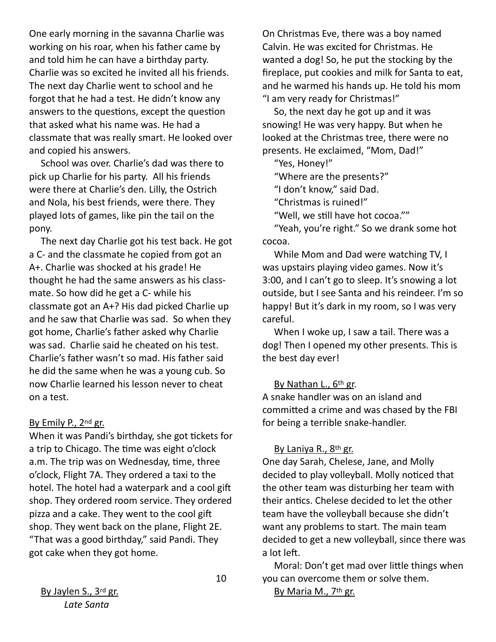One early morning in the savanna Charlie was working on his roar, when his father came by and told him he can have a birthday party. Charlie was so excited he invited all his friends. The next day Charlie went to school and he forgot that he had a test. He didn't know any answers to the questions, except the question that asked what his name was. He had a classmate that was really smart. He looked over and copied his answers.

School was over. Charlie's dad was there to pick up Charlie for his party. All his friends were there at Charlie's den. Lilly, the Ostrich and Nola, his best friends, were there. They played lots of games, like pin the tail on the pony.

The next day Charlie got his test back. He got a C- and the classmate he copied from got an A+. Charlie was shocked at his grade! He thought he had the same answers as his classmate. So how did he get a C- while his classmate got an A+? His dad picked Charlie up and he saw that Charlie was sad. So when they got home, Charlie's father asked why Charlie was sad. Charlie said he cheated on his test. Charlie's father wasn't so mad. His father said he did the same when he was a young cub. So now Charlie learned his lesson never to cheat on a test.

#### By Emily P., 2nd gr.

When it was Pandi's birthday, she got tickets for a trip to Chicago. The time was eight o'clock a.m. The trip was on Wednesday, time, three o'clock, Flight 7A. They ordered a taxi to the hotel. The hotel had a waterpark and a cool gift shop. They ordered room service. They ordered pizza and a cake. They went to the cool gift shop. They went back on the plane, Flight 2E. "That was a good birthday," said Pandi. They got cake when they got home.

On Christmas Eve, there was a boy named Calvin. He was excited for Christmas. He wanted a dog! So, he put the stocking by the fireplace, put cookies and milk for Santa to eat, and he warmed his hands up. He told his mom "I am very ready for Christmas!"

So, the next day he got up and it was snowing! He was very happy. But when he looked at the Christmas tree, there were no presents. He exclaimed, "Mom, Dad!"

"Yes, Honey!"

"Where are the presents?"

"I don't know," said Dad.

"Christmas is ruined!"

"Well, we still have hot cocoa.""

"Yeah, you're right." So we drank some hot cocoa.

While Mom and Dad were watching TV, I was upstairs playing video games. Now it's 3:00, and I can't go to sleep. It's snowing a lot outside, but I see Santa and his reindeer. I'm so happy! But it's dark in my room, so I was very careful.

 When I woke up, I saw a tail. There was a dog! Then I opened my other presents. This is the best day ever!

## By Nathan L., 6th gr.

A snake handler was on an island and committed a crime and was chased by the FBI for being a terrible snake-handler.

## By Laniya R., 8<sup>th</sup> gr.

One day Sarah, Chelese, Jane, and Molly decided to play volleyball. Molly noticed that the other team was disturbing her team with their antics. Chelese decided to let the other team have the volleyball because she didn't want any problems to start. The main team decided to get a new volleyball, since there was a lot left.

Moral: Don't get mad over little things when you can overcome them or solve them.

By Maria M., 7th gr.

By Jaylen S., 3<sup>rd</sup> gr. *Late Santa*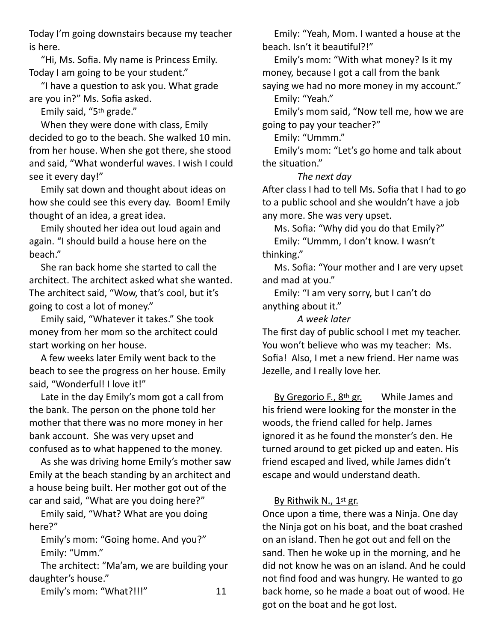Today I'm going downstairs because my teacher is here.

 "Hi, Ms. Sofia. My name is Princess Emily. Today I am going to be your student."

"I have a question to ask you. What grade are you in?" Ms. Sofia asked.

Emily said, "5th grade."

 When they were done with class, Emily decided to go to the beach. She walked 10 min. from her house. When she got there, she stood and said, "What wonderful waves. I wish I could see it every day!"

 Emily sat down and thought about ideas on how she could see this every day. Boom! Emily thought of an idea, a great idea.

 Emily shouted her idea out loud again and again. "I should build a house here on the beach."

 She ran back home she started to call the architect. The architect asked what she wanted. The architect said, "Wow, that's cool, but it's going to cost a lot of money."

 Emily said, "Whatever it takes." She took money from her mom so the architect could start working on her house.

 A few weeks later Emily went back to the beach to see the progress on her house. Emily said, "Wonderful! I love it!"

 Late in the day Emily's mom got a call from the bank. The person on the phone told her mother that there was no more money in her bank account. She was very upset and confused as to what happened to the money.

 As she was driving home Emily's mother saw Emily at the beach standing by an architect and a house being built. Her mother got out of the car and said, "What are you doing here?"

 Emily said, "What? What are you doing here?"

 Emily's mom: "Going home. And you?" Emily: "Umm."

 The architect: "Ma'am, we are building your daughter's house."

Emily's mom: "What?!!!" 11

 Emily: "Yeah, Mom. I wanted a house at the beach. Isn't it beautiful?!"

 Emily's mom: "With what money? Is it my money, because I got a call from the bank saying we had no more money in my account." Emily: "Yeah."

 Emily's mom said, "Now tell me, how we are going to pay your teacher?"

Emily: "Ummm."

 Emily's mom: "Let's go home and talk about the situation."

*The next day*

After class I had to tell Ms. Sofia that I had to go to a public school and she wouldn't have a job any more. She was very upset.

Ms. Sofia: "Why did you do that Emily?"

 Emily: "Ummm, I don't know. I wasn't thinking."

 Ms. Sofia: "Your mother and I are very upset and mad at you."

 Emily: "I am very sorry, but I can't do anything about it."

*A week later*

The first day of public school I met my teacher. You won't believe who was my teacher: Ms. Sofia! Also, I met a new friend. Her name was Jezelle, and I really love her.

By Gregorio F., 8<sup>th</sup> gr. While James and his friend were looking for the monster in the woods, the friend called for help. James ignored it as he found the monster's den. He turned around to get picked up and eaten. His friend escaped and lived, while James didn't escape and would understand death.

# By Rithwik N., 1st gr.

Once upon a time, there was a Ninja. One day the Ninja got on his boat, and the boat crashed on an island. Then he got out and fell on the sand. Then he woke up in the morning, and he did not know he was on an island. And he could not find food and was hungry. He wanted to go back home, so he made a boat out of wood. He got on the boat and he got lost.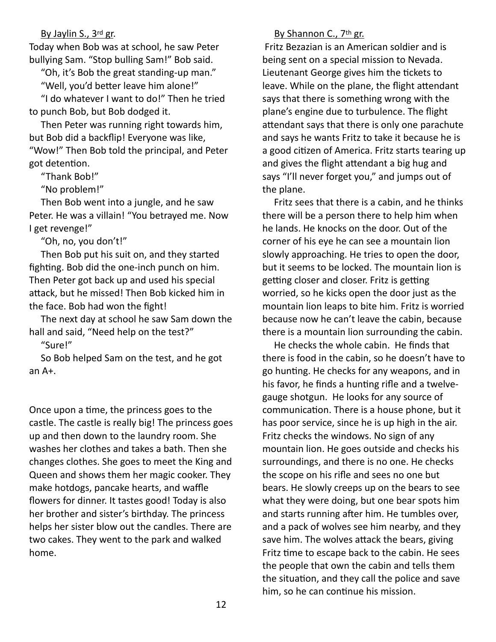#### By Jaylin S., 3rd gr.

Today when Bob was at school, he saw Peter bullying Sam. "Stop bulling Sam!" Bob said.

 "Oh, it's Bob the great standing-up man." "Well, you'd better leave him alone!" "I do whatever I want to do!" Then he tried

to punch Bob, but Bob dodged it.

 Then Peter was running right towards him, but Bob did a backflip! Everyone was like, "Wow!" Then Bob told the principal, and Peter got detention.

"Thank Bob!"

"No problem!"

Then Bob went into a jungle, and he saw Peter. He was a villain! "You betrayed me. Now I get revenge!"

"Oh, no, you don't!"

Then Bob put his suit on, and they started fighting. Bob did the one-inch punch on him. Then Peter got back up and used his special attack, but he missed! Then Bob kicked him in the face. Bob had won the fight!

The next day at school he saw Sam down the hall and said, "Need help on the test?"

"Sure!"

So Bob helped Sam on the test, and he got an A+.

Once upon a time, the princess goes to the castle. The castle is really big! The princess goes up and then down to the laundry room. She washes her clothes and takes a bath. Then she changes clothes. She goes to meet the King and Queen and shows them her magic cooker. They make hotdogs, pancake hearts, and waffle flowers for dinner. It tastes good! Today is also her brother and sister's birthday. The princess helps her sister blow out the candles. There are two cakes. They went to the park and walked home.

Fritz Bezazian is an American soldier and is

By Shannon C., 7th gr.

being sent on a special mission to Nevada. Lieutenant George gives him the tickets to leave. While on the plane, the flight attendant says that there is something wrong with the plane's engine due to turbulence. The flight attendant says that there is only one parachute and says he wants Fritz to take it because he is a good citizen of America. Fritz starts tearing up and gives the flight attendant a big hug and says "I'll never forget you," and jumps out of the plane.

 Fritz sees that there is a cabin, and he thinks there will be a person there to help him when he lands. He knocks on the door. Out of the corner of his eye he can see a mountain lion slowly approaching. He tries to open the door, but it seems to be locked. The mountain lion is getting closer and closer. Fritz is getting worried, so he kicks open the door just as the mountain lion leaps to bite him. Fritz is worried because now he can't leave the cabin, because there is a mountain lion surrounding the cabin.

He checks the whole cabin. He finds that there is food in the cabin, so he doesn't have to go hunting. He checks for any weapons, and in his favor, he finds a hunting rifle and a twelvegauge shotgun. He looks for any source of communication. There is a house phone, but it has poor service, since he is up high in the air. Fritz checks the windows. No sign of any mountain lion. He goes outside and checks his surroundings, and there is no one. He checks the scope on his rifle and sees no one but bears. He slowly creeps up on the bears to see what they were doing, but one bear spots him and starts running after him. He tumbles over, and a pack of wolves see him nearby, and they save him. The wolves attack the bears, giving Fritz time to escape back to the cabin. He sees the people that own the cabin and tells them the situation, and they call the police and save him, so he can continue his mission.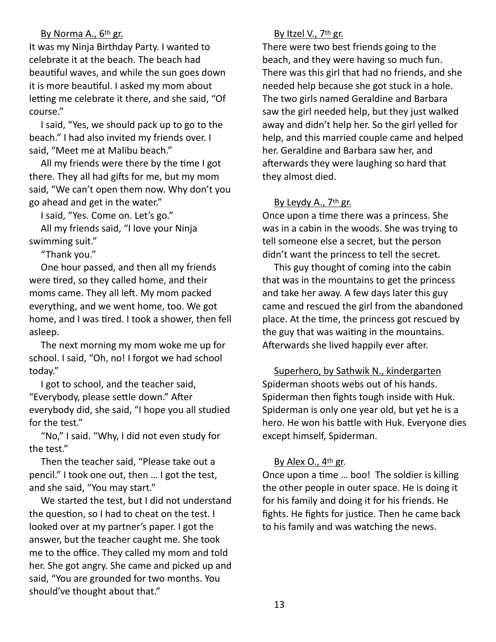### By Norma A., 6th gr.

It was my Ninja Birthday Party. I wanted to celebrate it at the beach. The beach had beautiful waves, and while the sun goes down it is more beautiful. I asked my mom about letting me celebrate it there, and she said, "Of course."

I said, "Yes, we should pack up to go to the beach." I had also invited my friends over. I said, "Meet me at Malibu beach."

All my friends were there by the time I got there. They all had gifts for me, but my mom said, "We can't open them now. Why don't you go ahead and get in the water."

I said, "Yes. Come on. Let's go."

All my friends said, "I love your Ninja swimming suit."

"Thank you."

One hour passed, and then all my friends were tired, so they called home, and their moms came. They all left. My mom packed everything, and we went home, too. We got home, and I was tired. I took a shower, then fell asleep.

 The next morning my mom woke me up for school. I said, "Oh, no! I forgot we had school today."

I got to school, and the teacher said, "Everybody, please settle down." After everybody did, she said, "I hope you all studied for the test."

"No," I said. "Why, I did not even study for the test."

Then the teacher said, "Please take out a pencil." I took one out, then … I got the test, and she said, "You may start."

We started the test, but I did not understand the question, so I had to cheat on the test. I looked over at my partner's paper. I got the answer, but the teacher caught me. She took me to the office. They called my mom and told her. She got angry. She came and picked up and said, "You are grounded for two months. You should've thought about that."

### By Itzel V., 7<sup>th</sup> gr.

There were two best friends going to the beach, and they were having so much fun. There was this girl that had no friends, and she needed help because she got stuck in a hole. The two girls named Geraldine and Barbara saw the girl needed help, but they just walked away and didn't help her. So the girl yelled for help, and this married couple came and helped her. Geraldine and Barbara saw her, and afterwards they were laughing so hard that they almost died.

### By Leydy A., 7<sup>th</sup> gr.

Once upon a time there was a princess. She was in a cabin in the woods. She was trying to tell someone else a secret, but the person didn't want the princess to tell the secret.

This guy thought of coming into the cabin that was in the mountains to get the princess and take her away. A few days later this guy came and rescued the girl from the abandoned place. At the time, the princess got rescued by the guy that was waiting in the mountains. Afterwards she lived happily ever after.

Superhero, by Sathwik N., kindergarten Spiderman shoots webs out of his hands. Spiderman then fights tough inside with Huk. Spiderman is only one year old, but yet he is a hero. He won his battle with Huk. Everyone dies except himself, Spiderman.

### By Alex  $O_{1}$ , 4<sup>th</sup> gr.

Once upon a time ... boo! The soldier is killing the other people in outer space. He is doing it for his family and doing it for his friends. He fights. He fights for justice. Then he came back to his family and was watching the news.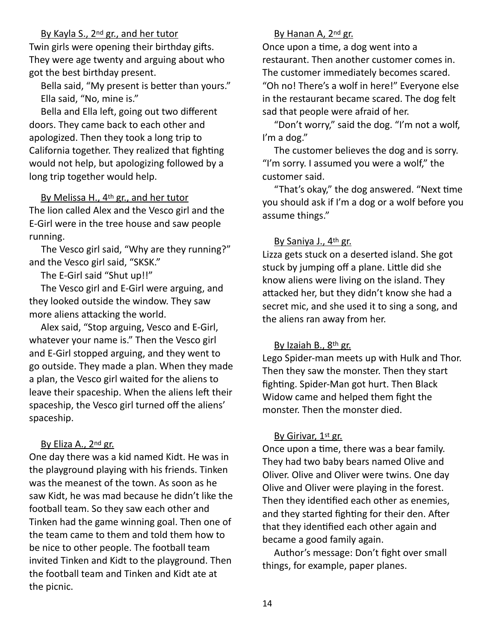By Kayla S., 2<sup>nd</sup> gr., and her tutor

Twin girls were opening their birthday gifts. They were age twenty and arguing about who got the best birthday present.

Bella said, "My present is better than yours." Ella said, "No, mine is."

Bella and Ella left, going out two different doors. They came back to each other and apologized. Then they took a long trip to California together. They realized that fighting would not help, but apologizing followed by a long trip together would help.

By Melissa H., 4th gr., and her tutor The lion called Alex and the Vesco girl and the E-Girl were in the tree house and saw people running.

 The Vesco girl said, "Why are they running?" and the Vesco girl said, "SKSK."

The E-Girl said "Shut up!!"

The Vesco girl and E-Girl were arguing, and they looked outside the window. They saw more aliens attacking the world.

Alex said, "Stop arguing, Vesco and E-Girl, whatever your name is." Then the Vesco girl and E-Girl stopped arguing, and they went to go outside. They made a plan. When they made a plan, the Vesco girl waited for the aliens to leave their spaceship. When the aliens left their spaceship, the Vesco girl turned off the aliens' spaceship.

# By Eliza A., 2nd gr.

One day there was a kid named Kidt. He was in the playground playing with his friends. Tinken was the meanest of the town. As soon as he saw Kidt, he was mad because he didn't like the football team. So they saw each other and Tinken had the game winning goal. Then one of the team came to them and told them how to be nice to other people. The football team invited Tinken and Kidt to the playground. Then the football team and Tinken and Kidt ate at the picnic.

# By Hanan A, 2<sup>nd</sup> gr.

Once upon a time, a dog went into a restaurant. Then another customer comes in. The customer immediately becomes scared. "Oh no! There's a wolf in here!" Everyone else in the restaurant became scared. The dog felt sad that people were afraid of her.

 "Don't worry," said the dog. "I'm not a wolf, I'm a dog."

 The customer believes the dog and is sorry. "I'm sorry. I assumed you were a wolf," the customer said.

"That's okay," the dog answered. "Next time you should ask if I'm a dog or a wolf before you assume things."

## By Saniya J., 4th gr.

Lizza gets stuck on a deserted island. She got stuck by jumping off a plane. Little did she know aliens were living on the island. They attacked her, but they didn't know she had a secret mic, and she used it to sing a song, and the aliens ran away from her.

## By Izaiah B., 8th gr.

Lego Spider-man meets up with Hulk and Thor. Then they saw the monster. Then they start fighting. Spider-Man got hurt. Then Black Widow came and helped them fight the monster. Then the monster died.

## By Girivar, 1st gr.

Once upon a time, there was a bear family. They had two baby bears named Olive and Oliver. Olive and Oliver were twins. One day Olive and Oliver were playing in the forest. Then they identified each other as enemies, and they started fighting for their den. After that they identified each other again and became a good family again.

 Author's message: Don't fight over small things, for example, paper planes.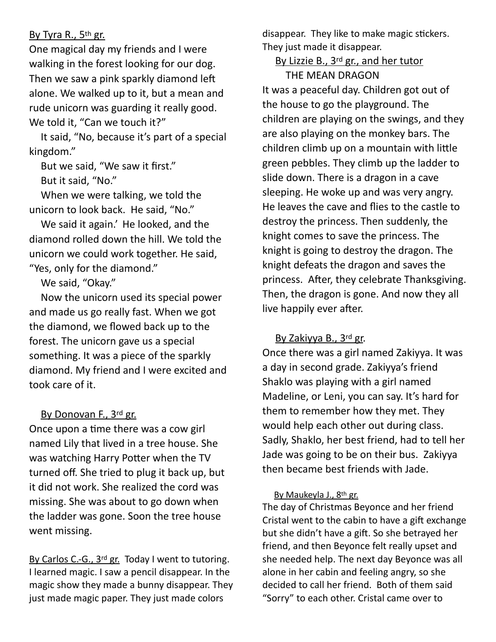# By Tyra R., 5th gr.

One magical day my friends and I were walking in the forest looking for our dog. Then we saw a pink sparkly diamond left alone. We walked up to it, but a mean and rude unicorn was guarding it really good. We told it, "Can we touch it?"

 It said, "No, because it's part of a special kingdom."

 But we said, "We saw it first." But it said, "No."

When we were talking, we told the unicorn to look back. He said, "No."

 We said it again.' He looked, and the diamond rolled down the hill. We told the unicorn we could work together. He said, "Yes, only for the diamond."

We said, "Okay."

 Now the unicorn used its special power and made us go really fast. When we got the diamond, we flowed back up to the forest. The unicorn gave us a special something. It was a piece of the sparkly diamond. My friend and I were excited and took care of it.

# By Donovan F., 3rd gr.

Once upon a time there was a cow girl named Lily that lived in a tree house. She was watching Harry Potter when the TV turned off. She tried to plug it back up, but it did not work. She realized the cord was missing. She was about to go down when the ladder was gone. Soon the tree house went missing.

By Carlos C.-G., 3<sup>rd</sup> gr. Today I went to tutoring. I learned magic. I saw a pencil disappear. In the magic show they made a bunny disappear. They just made magic paper. They just made colors

disappear. They like to make magic stickers. They just made it disappear.

By Lizzie B., 3<sup>rd</sup> gr., and her tutor THE MEAN DRAGON

It was a peaceful day. Children got out of the house to go the playground. The children are playing on the swings, and they are also playing on the monkey bars. The children climb up on a mountain with little green pebbles. They climb up the ladder to slide down. There is a dragon in a cave sleeping. He woke up and was very angry. He leaves the cave and flies to the castle to destroy the princess. Then suddenly, the knight comes to save the princess. The knight is going to destroy the dragon. The knight defeats the dragon and saves the princess. After, they celebrate Thanksgiving. Then, the dragon is gone. And now they all live happily ever after.

# By Zakiyya B., 3rd gr.

Once there was a girl named Zakiyya. It was a day in second grade. Zakiyya's friend Shaklo was playing with a girl named Madeline, or Leni, you can say. It's hard for them to remember how they met. They would help each other out during class. Sadly, Shaklo, her best friend, had to tell her Jade was going to be on their bus. Zakiyya then became best friends with Jade.

## By Maukeyla J., 8th gr.

The day of Christmas Beyonce and her friend Cristal went to the cabin to have a gift exchange but she didn't have a gift. So she betrayed her friend, and then Beyonce felt really upset and she needed help. The next day Beyonce was all alone in her cabin and feeling angry, so she decided to call her friend. Both of them said "Sorry" to each other. Cristal came over to